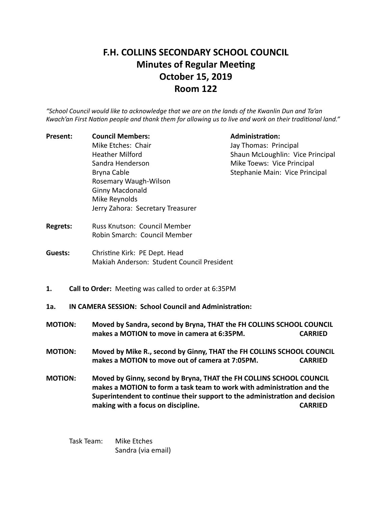# **F.H. COLLINS SECONDARY SCHOOL COUNCIL Minutes of Regular Meeting October 15, 2019 Room 122**

*"School Council would like to acknowledge that we are on the lands of the Kwanlin Dun and Ta'an* Kwach'an First Nation people and thank them for allowing us to live and work on their traditional land."

Present: Council Members: Administration: Mike Etches: Chair **Information** Jay Thomas: Principal Sandra Henderson **Mike Toews:** Vice Principal Bryna Cable **Stephanie Main:** Vice Principal Rosemary Waugh-Wilson Ginny Macdonald Mike Reynolds Jerry Zahora: Secretary Treasurer

Heather Milford **Shaun McLoughlin: Vice Principal** 

- **Regrets:** Russ Knutson: Council Member Robin Smarch: Council Member
- **Guests:** Christine Kirk: PE Dept. Head Makiah Anderson: Student Council President
- **1.** Call to Order: Meeting was called to order at 6:35PM
- 1a. **IN CAMERA SESSION: School Council and Administration:**
- **MOTION:** Moved by Sandra, second by Bryna, THAT the FH COLLINS SCHOOL COUNCIL makes a MOTION to move in camera at 6:35PM. CARRIED
- **MOTION:** Moved by Mike R., second by Ginny, THAT the FH COLLINS SCHOOL COUNCIL makes a MOTION to move out of camera at 7:05PM. CARRIED
- **MOTION:** Moved by Ginny, second by Bryna, THAT the FH COLLINS SCHOOL COUNCIL makes a MOTION to form a task team to work with administration and the Superintendent to continue their support to the administration and decision **making with a focus on discipline.** The contract of the contract of the carrier of the contract of the contract of the contract of the contract of the contract of the contract of the contract of the contract of the contra

Task Team: Mike Etches Sandra (via email)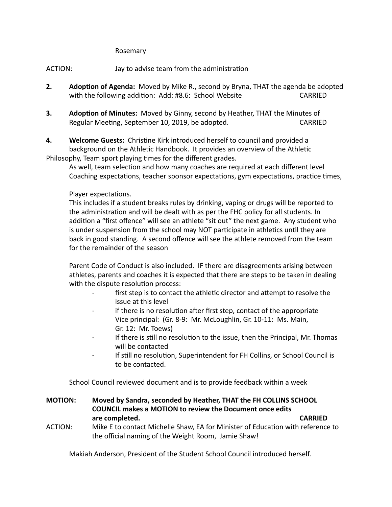#### Rosemary

ACTION: Jay to advise team from the administration

- **2.** Adoption of Agenda: Moved by Mike R., second by Bryna, THAT the agenda be adopted with the following addition: Add: #8.6: School Website CARRIED
- **3.** Adoption of Minutes: Moved by Ginny, second by Heather, THAT the Minutes of Regular Meeting, September 10, 2019, be adopted. CARRIED

**4.** Welcome Guests: Christine Kirk introduced herself to council and provided a background on the Athletic Handbook. It provides an overview of the Athletic Philosophy, Team sport playing times for the different grades.

As well, team selection and how many coaches are required at each different level Coaching expectations, teacher sponsor expectations, gym expectations, practice times,

## Player expectations.

This includes if a student breaks rules by drinking, vaping or drugs will be reported to the administration and will be dealt with as per the FHC policy for all students. In addition a "first offence" will see an athlete "sit out" the next game. Any student who is under suspension from the school may NOT participate in athletics until they are back in good standing. A second offence will see the athlete removed from the team for the remainder of the season

Parent Code of Conduct is also included. IF there are disagreements arising between athletes, parents and coaches it is expected that there are steps to be taken in dealing with the dispute resolution process:

- first step is to contact the athletic director and attempt to resolve the issue at this level
- if there is no resolution after first step, contact of the appropriate Vice principal: (Gr. 8-9: Mr. McLoughlin, Gr. 10-11: Ms. Main, Gr. 12: Mr. Toews)
- If there is still no resolution to the issue, then the Principal, Mr. Thomas will be contacted
- If still no resolution, Superintendent for FH Collins, or School Council is to be contacted.

School Council reviewed document and is to provide feedback within a week

- **MOTION:** Moved by Sandra, seconded by Heather, THAT the FH COLLINS SCHOOL **COUNCIL makes a MOTION to review the Document once edits are completed.** CARRIED
- ACTION: Mike E to contact Michelle Shaw, EA for Minister of Education with reference to the official naming of the Weight Room, Jamie Shaw!

Makiah Anderson, President of the Student School Council introduced herself.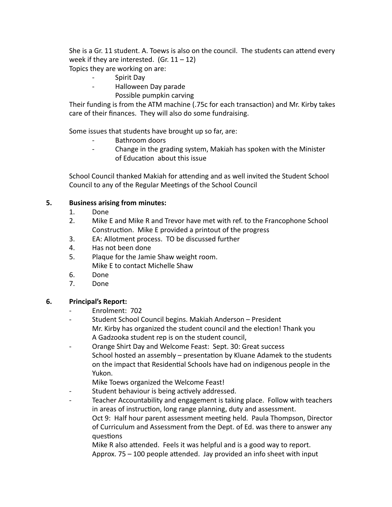She is a Gr. 11 student. A. Toews is also on the council. The students can attend every week if they are interested.  $(Gr. 11 - 12)$ 

Topics they are working on are:

- Spirit Day
- Halloween Day parade
	- Possible pumpkin carving

Their funding is from the ATM machine (.75c for each transaction) and Mr. Kirby takes care of their finances. They will also do some fundraising.

Some issues that students have brought up so far, are:

- Bathroom doors
- Change in the grading system, Makiah has spoken with the Minister of Education about this issue

School Council thanked Makiah for attending and as well invited the Student School Council to any of the Regular Meetings of the School Council

## **5.** Business arising from minutes:

- 1. Done
- 2. Mike E and Mike R and Trevor have met with ref. to the Francophone School Construction. Mike E provided a printout of the progress
- 3. EA: Allotment process. TO be discussed further
- 4. Has not been done
- 5. Plaque for the Jamie Shaw weight room. Mike E to contact Michelle Shaw
- 6. Done
- 7. Done

## **6.** Principal's Report:

- Enrolment: 702
- Student School Council begins. Makiah Anderson President Mr. Kirby has organized the student council and the election! Thank you A Gadzooka student rep is on the student council,
- Orange Shirt Day and Welcome Feast: Sept. 30: Great success School hosted an assembly  $-$  presentation by Kluane Adamek to the students on the impact that Residential Schools have had on indigenous people in the Yukon.

Mike Toews organized the Welcome Feast!

- Student behaviour is being actively addressed.
- Teacher Accountability and engagement is taking place. Follow with teachers in areas of instruction, long range planning, duty and assessment. Oct 9: Half hour parent assessment meeting held. Paula Thompson, Director of Curriculum and Assessment from the Dept. of Ed. was there to answer any questions

Mike R also attended. Feels it was helpful and is a good way to report. Approx.  $75 - 100$  people attended. Jay provided an info sheet with input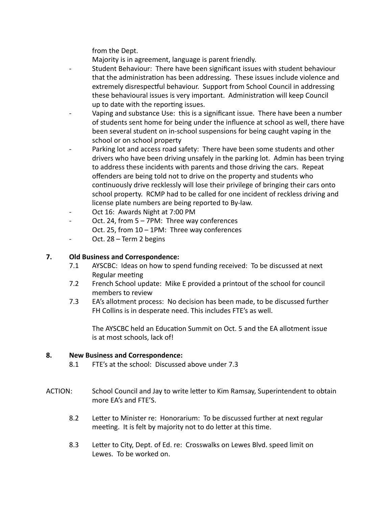from the Dept.

Majority is in agreement, language is parent friendly.

- Student Behaviour: There have been significant issues with student behaviour that the administration has been addressing. These issues include violence and extremely disrespectful behaviour. Support from School Council in addressing these behavioural issues is very important. Administration will keep Council up to date with the reporting issues.
- Vaping and substance Use: this is a significant issue. There have been a number of students sent home for being under the influence at school as well, there have been several student on in-school suspensions for being caught vaping in the school or on school property
- Parking lot and access road safety: There have been some students and other drivers who have been driving unsafely in the parking lot. Admin has been trying to address these incidents with parents and those driving the cars. Repeat offenders are being told not to drive on the property and students who continuously drive recklessly will lose their privilege of bringing their cars onto school property. RCMP had to be called for one incident of reckless driving and license plate numbers are being reported to By-law.
- Oct 16: Awards Night at 7:00 PM
- Oct. 24, from 5 7PM: Three way conferences
	- Oct. 25, from  $10 1$ PM: Three way conferences
- Oct. 28 Term 2 begins

## **7.** Old Business and Correspondence:

- 7.1 AYSCBC: Ideas on how to spend funding received: To be discussed at next Regular meeting
- 7.2 French School update: Mike E provided a printout of the school for council members to review
- 7.3 EA's allotment process: No decision has been made, to be discussed further FH Collins is in desperate need. This includes FTE's as well.

The AYSCBC held an Education Summit on Oct. 5 and the EA allotment issue is at most schools, lack of!

## **8.** New Business and Correspondence:

- 8.1 FTE's at the school: Discussed above under 7.3
- ACTION: School Council and Jay to write letter to Kim Ramsay, Superintendent to obtain more EA's and FTE'S.
	- 8.2 Letter to Minister re: Honorarium: To be discussed further at next regular meeting. It is felt by majority not to do letter at this time.
	- 8.3 Letter to City, Dept. of Ed. re: Crosswalks on Lewes Blvd. speed limit on Lewes. To be worked on.